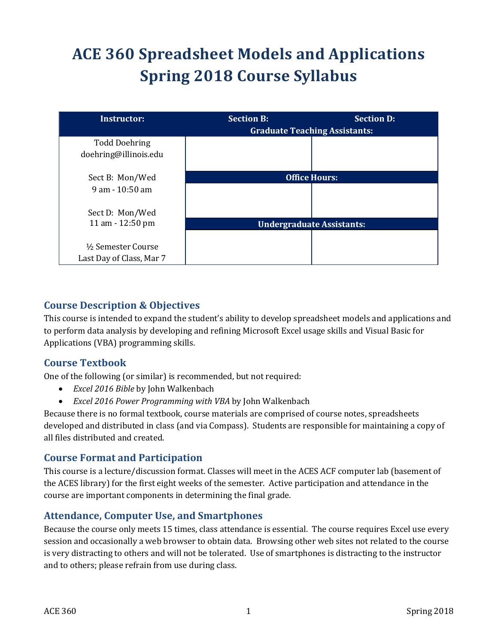# **ACE 360 Spreadsheet Models and Applications Spring 2018 Course Syllabus**

| <b>Instructor:</b>       | <b>Section B:</b>    | <b>Section D:</b><br><b>Graduate Teaching Assistants:</b> |  |
|--------------------------|----------------------|-----------------------------------------------------------|--|
| <b>Todd Doehring</b>     |                      |                                                           |  |
| doehring@illinois.edu    |                      |                                                           |  |
| Sect B: Mon/Wed          | <b>Office Hours:</b> |                                                           |  |
| $9$ am $-10:50$ am       |                      |                                                           |  |
| Sect D: Mon/Wed          |                      |                                                           |  |
| 11 am - 12:50 pm         |                      | <b>Undergraduate Assistants:</b>                          |  |
|                          |                      |                                                           |  |
| 1/2 Semester Course      |                      |                                                           |  |
| Last Day of Class, Mar 7 |                      |                                                           |  |

## **Course Description & Objectives**

This course is intended to expand the student's ability to develop spreadsheet models and applications and to perform data analysis by developing and refining Microsoft Excel usage skills and Visual Basic for Applications (VBA) programming skills.

## **Course Textbook**

One of the following (or similar) is recommended, but not required:

- *Excel 2016 Bible* by John Walkenbach
- *Excel 2016 Power Programming with VBA* by John Walkenbach

Because there is no formal textbook, course materials are comprised of course notes, spreadsheets developed and distributed in class (and via Compass). Students are responsible for maintaining a copy of all files distributed and created.

## **Course Format and Participation**

This course is a lecture/discussion format. Classes will meet in the ACES ACF computer lab (basement of the ACES library) for the first eight weeks of the semester. Active participation and attendance in the course are important components in determining the final grade.

## **Attendance, Computer Use, and Smartphones**

Because the course only meets 15 times, class attendance is essential. The course requires Excel use every session and occasionally a web browser to obtain data. Browsing other web sites not related to the course is very distracting to others and will not be tolerated. Use of smartphones is distracting to the instructor and to others; please refrain from use during class.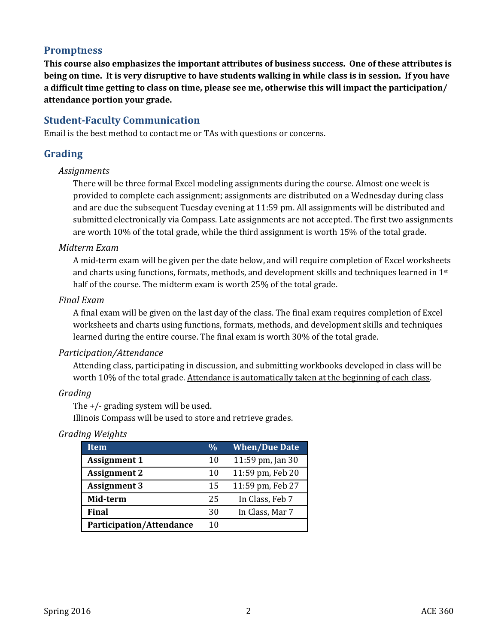## **Promptness**

**This course also emphasizes the important attributes of business success. One of these attributes is being on time. It is very disruptive to have students walking in while class is in session. If you have a difficult time getting to class on time, please see me, otherwise this will impact the participation/ attendance portion your grade.**

## **Student-Faculty Communication**

Email is the best method to contact me or TAs with questions or concerns.

## **Grading**

#### *Assignments*

There will be three formal Excel modeling assignments during the course. Almost one week is provided to complete each assignment; assignments are distributed on a Wednesday during class and are due the subsequent Tuesday evening at 11:59 pm. All assignments will be distributed and submitted electronically via Compass. Late assignments are not accepted. The first two assignments are worth 10% of the total grade, while the third assignment is worth 15% of the total grade.

#### *Midterm Exam*

A mid-term exam will be given per the date below, and will require completion of Excel worksheets and charts using functions, formats, methods, and development skills and techniques learned in 1st half of the course. The midterm exam is worth 25% of the total grade.

#### *Final Exam*

A final exam will be given on the last day of the class. The final exam requires completion of Excel worksheets and charts using functions, formats, methods, and development skills and techniques learned during the entire course. The final exam is worth 30% of the total grade.

#### *Participation/Attendance*

Attending class, participating in discussion, and submitting workbooks developed in class will be worth 10% of the total grade. Attendance is automatically taken at the beginning of each class.

#### *Grading*

The +/- grading system will be used.

Illinois Compass will be used to store and retrieve grades.

| Grading Weights |
|-----------------|
|                 |

| Item                            | $\frac{0}{0}$ | <b>When/Due Date</b> |
|---------------------------------|---------------|----------------------|
| <b>Assignment 1</b>             | 10            | 11:59 pm, Jan 30     |
| <b>Assignment 2</b>             | 10            | 11:59 pm, Feb 20     |
| <b>Assignment 3</b>             | 15            | 11:59 pm, Feb 27     |
| Mid-term                        | 25            | In Class, Feb 7      |
| <b>Final</b>                    | 30            | In Class, Mar 7      |
| <b>Participation/Attendance</b> | 10            |                      |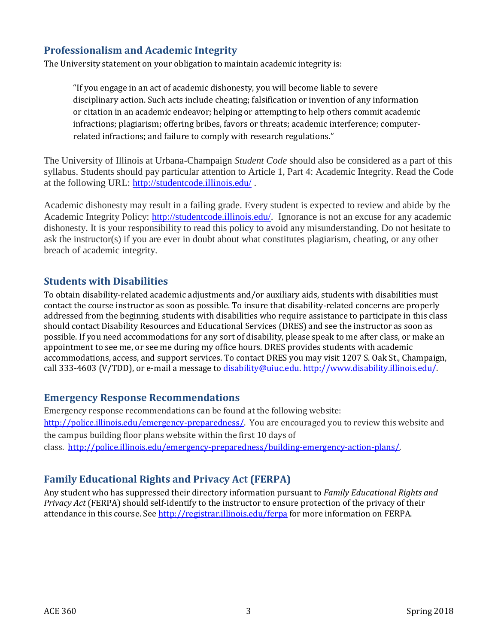## **Professionalism and Academic Integrity**

The University statement on your obligation to maintain academic integrity is:

"If you engage in an act of academic dishonesty, you will become liable to severe disciplinary action. Such acts include cheating; falsification or invention of any information or citation in an academic endeavor; helping or attempting to help others commit academic infractions; plagiarism; offering bribes, favors or threats; academic interference; computerrelated infractions; and failure to comply with research regulations."

The University of Illinois at Urbana-Champaign *Student Code* should also be considered as a part of this syllabus. Students should pay particular attention to Article 1, Part 4: Academic Integrity. Read the Code at the following URL:<http://studentcode.illinois.edu/> .

Academic dishonesty may result in a failing grade. Every student is expected to review and abide by the Academic Integrity Policy: [http://studentcode.illinois.edu/.](http://studentcode.illinois.edu/) Ignorance is not an excuse for any academic dishonesty. It is your responsibility to read this policy to avoid any misunderstanding. Do not hesitate to ask the instructor(s) if you are ever in doubt about what constitutes plagiarism, cheating, or any other breach of academic integrity.

#### **Students with Disabilities**

To obtain disability-related academic adjustments and/or auxiliary aids, students with disabilities must contact the course instructor as soon as possible. To insure that disability-related concerns are properly addressed from the beginning, students with disabilities who require assistance to participate in this class should contact Disability Resources and Educational Services (DRES) and see the instructor as soon as possible. If you need accommodations for any sort of disability, please speak to me after class, or make an appointment to see me, or see me during my office hours. DRES provides students with academic accommodations, access, and support services. To contact DRES you may visit 1207 S. Oak St., Champaign, call 333-4603 (V/TDD), or e-mail a message t[o disability@uiuc.edu.](mailto:disability@uiuc.edu) [http://www.disability.illinois.edu/.](http://www.disability.illinois.edu/)

#### **Emergency Response Recommendations**

Emergency response recommendations can be found at the following website: [http://police.illinois.edu/emergency-preparedness/.](http://police.illinois.edu/emergency-preparedness/) You are encouraged you to review this website and the campus building floor plans website within the first 10 days of class. [http://police.illinois.edu/emergency-preparedness/building-emergency-action-plans/.](http://police.illinois.edu/emergency-preparedness/building-emergency-action-plans/)

## **Family Educational Rights and Privacy Act (FERPA)**

Any student who has suppressed their directory information pursuant to *Family Educational Rights and Privacy Act* (FERPA) should self-identify to the instructor to ensure protection of the privacy of their attendance in this course. See<http://registrar.illinois.edu/ferpa> for more information on FERPA.